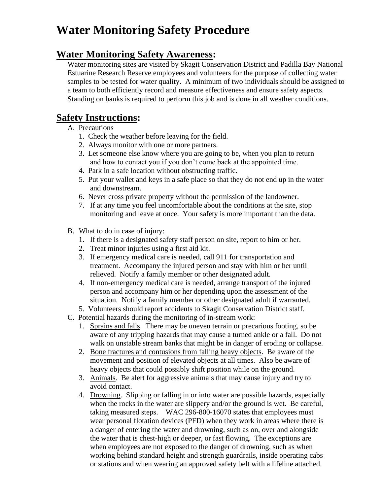# **Water Monitoring Safety Procedure**

#### **Water Monitoring Safety Awareness:**

Water monitoring sites are visited by Skagit Conservation District and Padilla Bay National Estuarine Research Reserve employees and volunteers for the purpose of collecting water samples to be tested for water quality. A minimum of two individuals should be assigned to a team to both efficiently record and measure effectiveness and ensure safety aspects. Standing on banks is required to perform this job and is done in all weather conditions.

### **Safety Instructions:**

- A. Precautions
	- 1. Check the weather before leaving for the field.
	- 2. Always monitor with one or more partners.
	- 3. Let someone else know where you are going to be, when you plan to return and how to contact you if you don't come back at the appointed time.
	- 4. Park in a safe location without obstructing traffic.
	- 5. Put your wallet and keys in a safe place so that they do not end up in the water and downstream.
	- 6. Never cross private property without the permission of the landowner.
	- 7. If at any time you feel uncomfortable about the conditions at the site, stop monitoring and leave at once. Your safety is more important than the data.
- B. What to do in case of injury:
	- 1. If there is a designated safety staff person on site, report to him or her.
	- 2. Treat minor injuries using a first aid kit.
	- 3. If emergency medical care is needed, call 911 for transportation and treatment. Accompany the injured person and stay with him or her until relieved. Notify a family member or other designated adult.
	- 4. If non-emergency medical care is needed, arrange transport of the injured person and accompany him or her depending upon the assessment of the situation. Notify a family member or other designated adult if warranted.
	- 5. Volunteers should report accidents to Skagit Conservation District staff.
- C. Potential hazards during the monitoring of in-stream work:
	- 1. Sprains and falls. There may be uneven terrain or precarious footing, so be aware of any tripping hazards that may cause a turned ankle or a fall. Do not walk on unstable stream banks that might be in danger of eroding or collapse.
	- 2. Bone fractures and contusions from falling heavy objects. Be aware of the movement and position of elevated objects at all times. Also be aware of heavy objects that could possibly shift position while on the ground.
	- 3. Animals. Be alert for aggressive animals that may cause injury and try to avoid contact.
	- 4. Drowning. Slipping or falling in or into water are possible hazards, especially when the rocks in the water are slippery and/or the ground is wet. Be careful, taking measured steps. WAC 296-800-16070 states that employees must wear personal flotation devices (PFD) when they work in areas where there is a danger of entering the water and drowning, such as on, over and alongside the water that is chest-high or deeper, or fast flowing. The exceptions are when employees are not exposed to the danger of drowning, such as when working behind standard height and strength guardrails, inside operating cabs or stations and when wearing an approved safety belt with a lifeline attached.